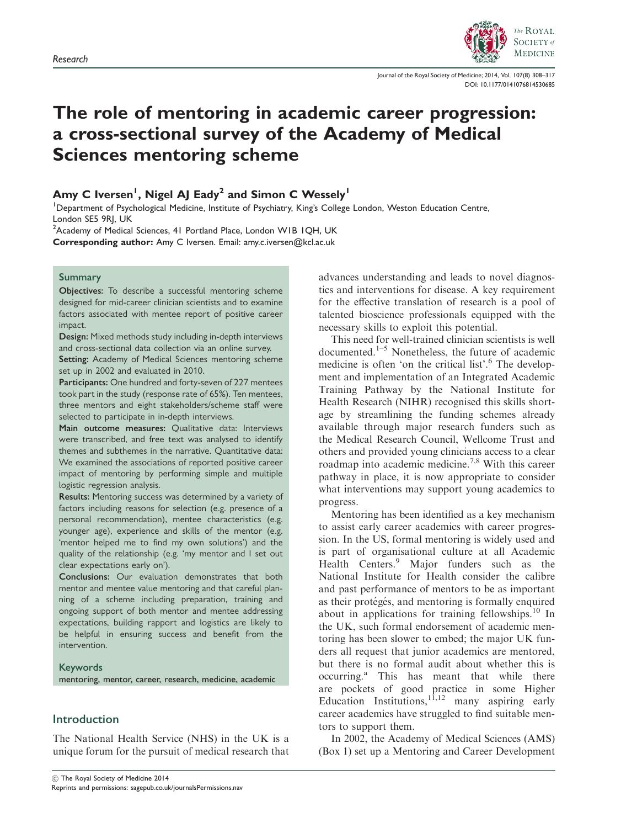

Journal of the Royal Society of Medicine; 2014, Vol. 107(8) 308–317 DOI: 10.1177/0141076814530685

# The role of mentoring in academic career progression: a cross-sectional survey of the Academy of Medical Sciences mentoring scheme

# Amy C Iversen<sup>1</sup>, Nigel AJ Eady<sup>2</sup> and Simon C Wessely<sup>1</sup>

<sup>1</sup>Department of Psychological Medicine, Institute of Psychiatry, King's College London, Weston Education Centre, London SE5 9RJ, UK

<sup>2</sup> Academy of Medical Sciences, 41 Portland Place, London W1B 1QH, UK Corresponding author: Amy C Iversen. Email: amy.c.iversen@kcl.ac.uk

#### Summary

Objectives: To describe a successful mentoring scheme designed for mid-career clinician scientists and to examine factors associated with mentee report of positive career impact.

Design: Mixed methods study including in-depth interviews and cross-sectional data collection via an online survey. Setting: Academy of Medical Sciences mentoring scheme

set up in 2002 and evaluated in 2010. Participants: One hundred and forty-seven of 227 mentees

took part in the study (response rate of 65%). Ten mentees, three mentors and eight stakeholders/scheme staff were selected to participate in in-depth interviews.

Main outcome measures: Qualitative data: Interviews were transcribed, and free text was analysed to identify themes and subthemes in the narrative. Quantitative data: We examined the associations of reported positive career impact of mentoring by performing simple and multiple logistic regression analysis.

Results: Mentoring success was determined by a variety of factors including reasons for selection (e.g. presence of a personal recommendation), mentee characteristics (e.g. younger age), experience and skills of the mentor (e.g. 'mentor helped me to find my own solutions') and the quality of the relationship (e.g. 'my mentor and I set out clear expectations early on').

Conclusions: Our evaluation demonstrates that both mentor and mentee value mentoring and that careful planning of a scheme including preparation, training and ongoing support of both mentor and mentee addressing expectations, building rapport and logistics are likely to be helpful in ensuring success and benefit from the intervention.

#### Keywords

mentoring, mentor, career, research, medicine, academic

# Introduction

The National Health Service (NHS) in the UK is a unique forum for the pursuit of medical research that advances understanding and leads to novel diagnostics and interventions for disease. A key requirement for the effective translation of research is a pool of talented bioscience professionals equipped with the necessary skills to exploit this potential.

This need for well-trained clinician scientists is well documented. $1-5$  Nonetheless, the future of academic medicine is often 'on the critical list'.<sup>6</sup> The development and implementation of an Integrated Academic Training Pathway by the National Institute for Health Research (NIHR) recognised this skills shortage by streamlining the funding schemes already available through major research funders such as the Medical Research Council, Wellcome Trust and others and provided young clinicians access to a clear roadmap into academic medicine.7,8 With this career pathway in place, it is now appropriate to consider what interventions may support young academics to progress.

Mentoring has been identified as a key mechanism to assist early career academics with career progression. In the US, formal mentoring is widely used and is part of organisational culture at all Academic Health Centers.<sup>9</sup> Major funders such as the National Institute for Health consider the calibre and past performance of mentors to be as important as their protégés, and mentoring is formally enquired about in applications for training fellowships. $^{10}$  In the UK, such formal endorsement of academic mentoring has been slower to embed; the major UK funders all request that junior academics are mentored, but there is no formal audit about whether this is occurring.<sup>a</sup> This has meant that while there are pockets of good practice in some Higher Education Institutions,  $11,12$  many aspiring early career academics have struggled to find suitable mentors to support them.

In 2002, the Academy of Medical Sciences (AMS) (Box 1) set up a Mentoring and Career Development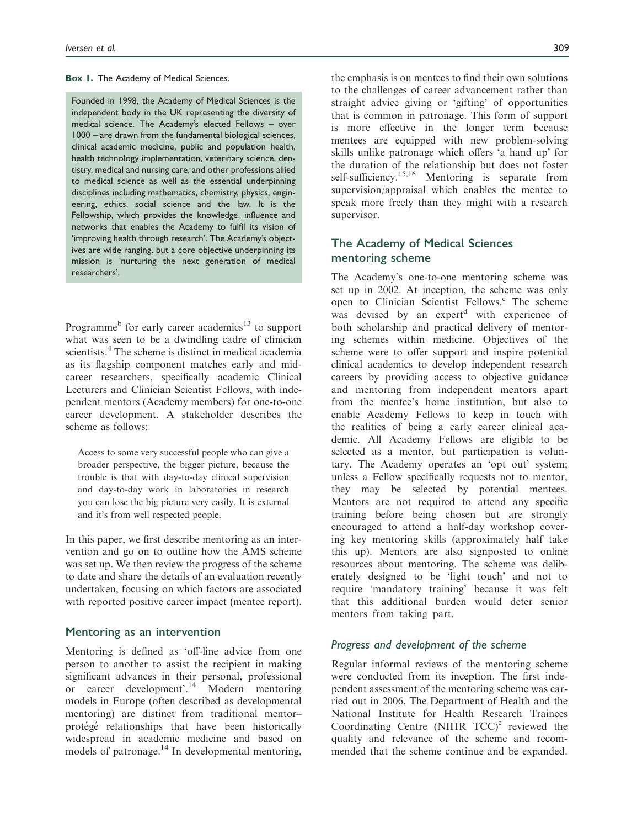#### Box 1. The Academy of Medical Sciences.

Founded in 1998, the Academy of Medical Sciences is the independent body in the UK representing the diversity of medical science. The Academy's elected Fellows – over 1000 – are drawn from the fundamental biological sciences, clinical academic medicine, public and population health, health technology implementation, veterinary science, dentistry, medical and nursing care, and other professions allied to medical science as well as the essential underpinning disciplines including mathematics, chemistry, physics, engineering, ethics, social science and the law. It is the Fellowship, which provides the knowledge, influence and networks that enables the Academy to fulfil its vision of 'improving health through research'. The Academy's objectives are wide ranging, but a core objective underpinning its mission is 'nurturing the next generation of medical researchers'.

Programme<sup>b</sup> for early career academics<sup>13</sup> to support what was seen to be a dwindling cadre of clinician scientists.<sup>4</sup> The scheme is distinct in medical academia as its flagship component matches early and midcareer researchers, specifically academic Clinical Lecturers and Clinician Scientist Fellows, with independent mentors (Academy members) for one-to-one career development. A stakeholder describes the scheme as follows:

Access to some very successful people who can give a broader perspective, the bigger picture, because the trouble is that with day-to-day clinical supervision and day-to-day work in laboratories in research you can lose the big picture very easily. It is external and it's from well respected people.

In this paper, we first describe mentoring as an intervention and go on to outline how the AMS scheme was set up. We then review the progress of the scheme to date and share the details of an evaluation recently undertaken, focusing on which factors are associated with reported positive career impact (mentee report).

## Mentoring as an intervention

Mentoring is defined as 'off-line advice from one person to another to assist the recipient in making significant advances in their personal, professional or career development'.<sup>14</sup> Modern mentoring models in Europe (often described as developmental mentoring) are distinct from traditional mentor– protégé relationships that have been historically widespread in academic medicine and based on models of patronage. $^{14}$  In developmental mentoring,

the emphasis is on mentees to find their own solutions to the challenges of career advancement rather than straight advice giving or 'gifting' of opportunities that is common in patronage. This form of support is more effective in the longer term because mentees are equipped with new problem-solving skills unlike patronage which offers 'a hand up' for the duration of the relationship but does not foster self-sufficiency.<sup>15,16</sup> Mentoring is separate from supervision/appraisal which enables the mentee to speak more freely than they might with a research supervisor.

# The Academy of Medical Sciences mentoring scheme

The Academy's one-to-one mentoring scheme was set up in 2002. At inception, the scheme was only open to Clinician Scientist Fellows.<sup>c</sup> The scheme was devised by an expert<sup>d</sup> with experience of both scholarship and practical delivery of mentoring schemes within medicine. Objectives of the scheme were to offer support and inspire potential clinical academics to develop independent research careers by providing access to objective guidance and mentoring from independent mentors apart from the mentee's home institution, but also to enable Academy Fellows to keep in touch with the realities of being a early career clinical academic. All Academy Fellows are eligible to be selected as a mentor, but participation is voluntary. The Academy operates an 'opt out' system; unless a Fellow specifically requests not to mentor, they may be selected by potential mentees. Mentors are not required to attend any specific training before being chosen but are strongly encouraged to attend a half-day workshop covering key mentoring skills (approximately half take this up). Mentors are also signposted to online resources about mentoring. The scheme was deliberately designed to be 'light touch' and not to require 'mandatory training' because it was felt that this additional burden would deter senior mentors from taking part.

## Progress and development of the scheme

Regular informal reviews of the mentoring scheme were conducted from its inception. The first independent assessment of the mentoring scheme was carried out in 2006. The Department of Health and the National Institute for Health Research Trainees Coordinating Centre (NIHR  $TCC$ )<sup>e</sup> reviewed the quality and relevance of the scheme and recommended that the scheme continue and be expanded.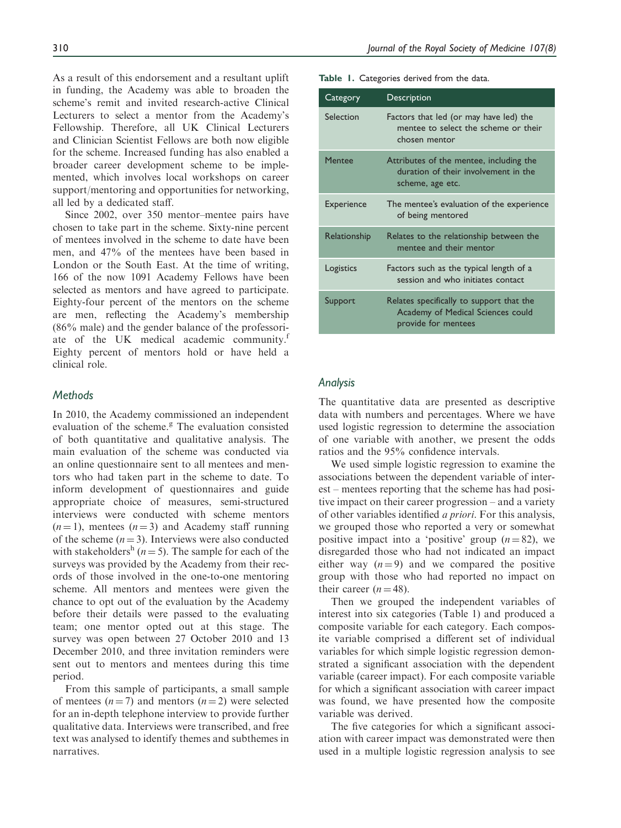As a result of this endorsement and a resultant uplift in funding, the Academy was able to broaden the scheme's remit and invited research-active Clinical Lecturers to select a mentor from the Academy's Fellowship. Therefore, all UK Clinical Lecturers and Clinician Scientist Fellows are both now eligible for the scheme. Increased funding has also enabled a broader career development scheme to be implemented, which involves local workshops on career support/mentoring and opportunities for networking, all led by a dedicated staff.

Since 2002, over 350 mentor–mentee pairs have chosen to take part in the scheme. Sixty-nine percent of mentees involved in the scheme to date have been men, and 47% of the mentees have been based in London or the South East. At the time of writing, 166 of the now 1091 Academy Fellows have been selected as mentors and have agreed to participate. Eighty-four percent of the mentors on the scheme are men, reflecting the Academy's membership (86% male) and the gender balance of the professoriate of the UK medical academic community.<sup>f</sup> Eighty percent of mentors hold or have held a clinical role.

## **Methods**

In 2010, the Academy commissioned an independent evaluation of the scheme.<sup>g</sup> The evaluation consisted of both quantitative and qualitative analysis. The main evaluation of the scheme was conducted via an online questionnaire sent to all mentees and mentors who had taken part in the scheme to date. To inform development of questionnaires and guide appropriate choice of measures, semi-structured interviews were conducted with scheme mentors  $(n = 1)$ , mentees  $(n = 3)$  and Academy staff running of the scheme  $(n = 3)$ . Interviews were also conducted with stakeholders<sup>h</sup> ( $n = 5$ ). The sample for each of the surveys was provided by the Academy from their records of those involved in the one-to-one mentoring scheme. All mentors and mentees were given the chance to opt out of the evaluation by the Academy before their details were passed to the evaluating team; one mentor opted out at this stage. The survey was open between 27 October 2010 and 13 December 2010, and three invitation reminders were sent out to mentors and mentees during this time period.

From this sample of participants, a small sample of mentees  $(n = 7)$  and mentors  $(n = 2)$  were selected for an in-depth telephone interview to provide further qualitative data. Interviews were transcribed, and free text was analysed to identify themes and subthemes in narratives.

Table 1. Categories derived from the data.

| Category          | Description                                                                                          |
|-------------------|------------------------------------------------------------------------------------------------------|
| Selection         | Factors that led (or may have led) the<br>mentee to select the scheme or their<br>chosen mentor      |
| Mentee            | Attributes of the mentee, including the<br>duration of their involvement in the<br>scheme, age etc.  |
| <b>Experience</b> | The mentee's evaluation of the experience<br>of being mentored                                       |
| Relationship      | Relates to the relationship between the<br>mentee and their mentor                                   |
| Logistics         | Factors such as the typical length of a<br>session and who initiates contact                         |
| Support           | Relates specifically to support that the<br>Academy of Medical Sciences could<br>provide for mentees |

## Analysis

The quantitative data are presented as descriptive data with numbers and percentages. Where we have used logistic regression to determine the association of one variable with another, we present the odds ratios and the 95% confidence intervals.

We used simple logistic regression to examine the associations between the dependent variable of interest – mentees reporting that the scheme has had positive impact on their career progression – and a variety of other variables identified a priori. For this analysis, we grouped those who reported a very or somewhat positive impact into a 'positive' group  $(n = 82)$ , we disregarded those who had not indicated an impact either way  $(n = 9)$  and we compared the positive group with those who had reported no impact on their career  $(n = 48)$ .

Then we grouped the independent variables of interest into six categories (Table 1) and produced a composite variable for each category. Each composite variable comprised a different set of individual variables for which simple logistic regression demonstrated a significant association with the dependent variable (career impact). For each composite variable for which a significant association with career impact was found, we have presented how the composite variable was derived.

The five categories for which a significant association with career impact was demonstrated were then used in a multiple logistic regression analysis to see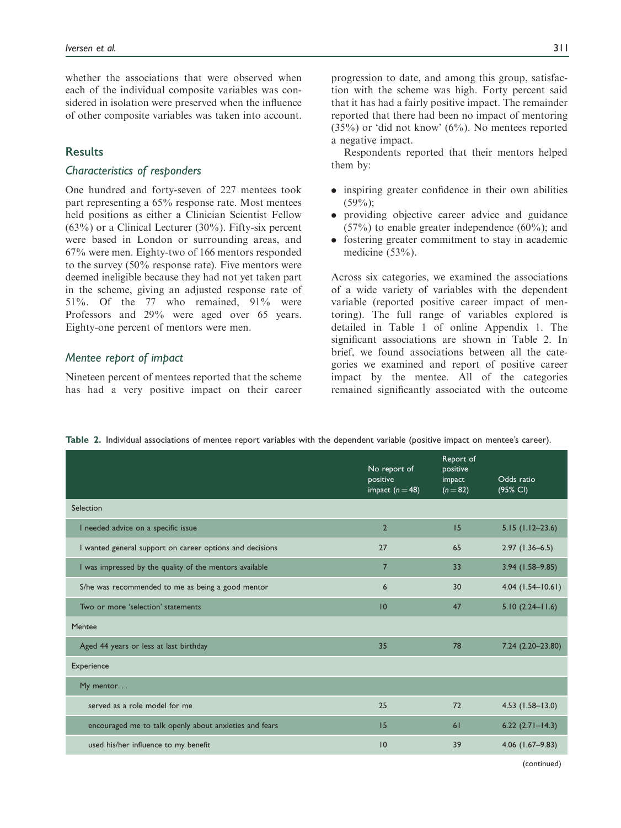whether the associations that were observed when each of the individual composite variables was considered in isolation were preserved when the influence of other composite variables was taken into account.

# **Results**

## Characteristics of responders

One hundred and forty-seven of 227 mentees took part representing a 65% response rate. Most mentees held positions as either a Clinician Scientist Fellow  $(63%)$  or a Clinical Lecturer  $(30%)$ . Fifty-six percent were based in London or surrounding areas, and 67% were men. Eighty-two of 166 mentors responded to the survey (50% response rate). Five mentors were deemed ineligible because they had not yet taken part in the scheme, giving an adjusted response rate of 51%. Of the 77 who remained, 91% were Professors and 29% were aged over 65 years. Eighty-one percent of mentors were men.

#### Mentee report of impact

Nineteen percent of mentees reported that the scheme has had a very positive impact on their career progression to date, and among this group, satisfaction with the scheme was high. Forty percent said that it has had a fairly positive impact. The remainder reported that there had been no impact of mentoring  $(35\%)$  or 'did not know'  $(6\%)$ . No mentees reported a negative impact.

Respondents reported that their mentors helped them by:

- inspiring greater confidence in their own abilities  $(59\%)$ ;
- . providing objective career advice and guidance  $(57\%)$  to enable greater independence  $(60\%)$ ; and
- . fostering greater commitment to stay in academic medicine (53%).

Across six categories, we examined the associations of a wide variety of variables with the dependent variable (reported positive career impact of mentoring). The full range of variables explored is detailed in Table 1 of online Appendix 1. The significant associations are shown in Table 2. In brief, we found associations between all the categories we examined and report of positive career impact by the mentee. All of the categories remained significantly associated with the outcome

|                                                          | No report of<br>positive<br>impact $(n = 48)$ | Report of<br>positive<br>impact<br>$(n=82)$ | Odds ratio<br>(95% CI) |
|----------------------------------------------------------|-----------------------------------------------|---------------------------------------------|------------------------|
| Selection                                                |                                               |                                             |                        |
| I needed advice on a specific issue                      | $\overline{2}$                                | 15                                          | $5.15(1.12-23.6)$      |
| I wanted general support on career options and decisions | 27                                            | 65                                          | $2.97(1.36 - 6.5)$     |
| I was impressed by the quality of the mentors available  | $\overline{7}$                                | 33                                          | $3.94$ (1.58-9.85)     |
| S/he was recommended to me as being a good mentor        | 6                                             | 30                                          | $4.04$ (1.54-10.61)    |
| Two or more 'selection' statements                       | 10                                            | 47                                          | $5.10(2.24 - 11.6)$    |
| Mentee                                                   |                                               |                                             |                        |
| Aged 44 years or less at last birthday                   | 35                                            | 78                                          | $7.24(2.20 - 23.80)$   |
| Experience                                               |                                               |                                             |                        |
| My mentor                                                |                                               |                                             |                        |
| served as a role model for me                            | 25                                            | 72                                          | $4.53$ (1.58-13.0)     |
| encouraged me to talk openly about anxieties and fears   | 15                                            | 61                                          | $6.22$ $(2.71 - 14.3)$ |
| used his/her influence to my benefit                     | 10                                            | 39                                          | $4.06$ (1.67-9.83)     |
|                                                          |                                               |                                             |                        |

Table 2. Individual associations of mentee report variables with the dependent variable (positive impact on mentee's career).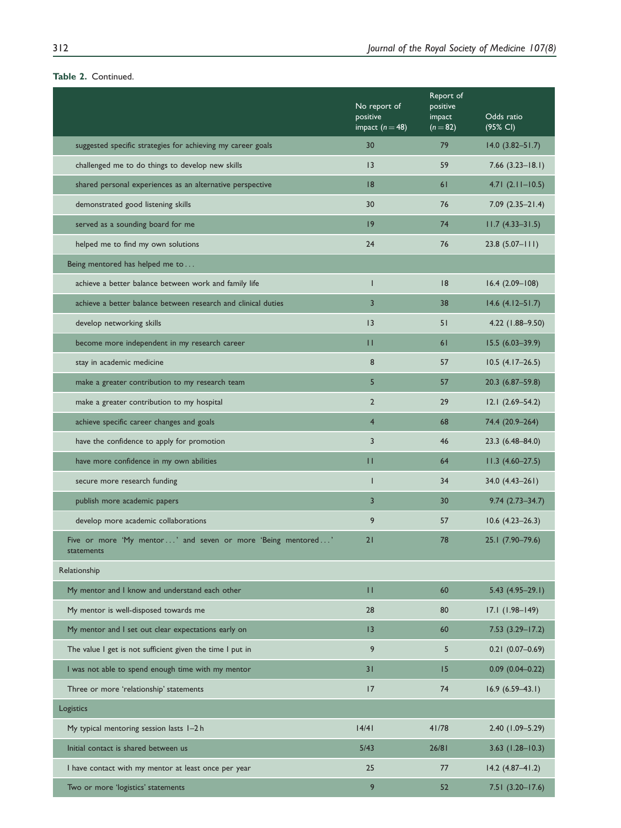|                                                                             | No report of<br>positive<br>impact $(n=48)$ | Report of<br>positive<br>impact<br>$(n = 82)$ | Odds ratio<br>(95% CI) |
|-----------------------------------------------------------------------------|---------------------------------------------|-----------------------------------------------|------------------------|
| suggested specific strategies for achieving my career goals                 | 30                                          | 79                                            | $14.0(3.82 - 51.7)$    |
| challenged me to do things to develop new skills                            | 3                                           | 59                                            | $7.66$ $(3.23 - 18.1)$ |
| shared personal experiences as an alternative perspective                   | 18                                          | 61                                            | $4.71(2.11-10.5)$      |
| demonstrated good listening skills                                          | 30                                          | 76                                            | $7.09(2.35 - 21.4)$    |
| served as a sounding board for me                                           | 9                                           | 74                                            | $11.7(4.33 - 31.5)$    |
| helped me to find my own solutions                                          | 24                                          | 76                                            | $23.8(5.07 - 111)$     |
| Being mentored has helped me to                                             |                                             |                                               |                        |
| achieve a better balance between work and family life                       | Т                                           | 8                                             | $16.4(2.09 - 108)$     |
| achieve a better balance between research and clinical duties               | 3                                           | 38                                            | $14.6$ $(4.12 - 51.7)$ |
| develop networking skills                                                   | 3                                           | 51                                            | 4.22 (1.88-9.50)       |
| become more independent in my research career                               | П                                           | 61                                            | $15.5(6.03 - 39.9)$    |
| stay in academic medicine                                                   | 8                                           | 57                                            | $10.5$ $(4.17-26.5)$   |
| make a greater contribution to my research team                             | 5                                           | 57                                            | 20.3 (6.87-59.8)       |
| make a greater contribution to my hospital                                  | $\overline{2}$                              | 29                                            | $12.1 (2.69 - 54.2)$   |
| achieve specific career changes and goals                                   | $\overline{4}$                              | 68                                            | 74.4 (20.9-264)        |
| have the confidence to apply for promotion                                  | 3                                           | 46                                            | 23.3 (6.48-84.0)       |
| have more confidence in my own abilities                                    | П                                           | 64                                            | $11.3 (4.60 - 27.5)$   |
| secure more research funding                                                | Т                                           | 34                                            | $34.0 (4.43 - 261)$    |
| publish more academic papers                                                | $\overline{3}$                              | 30                                            | $9.74(2.73 - 34.7)$    |
| develop more academic collaborations                                        | 9                                           | 57                                            | $10.6$ $(4.23 - 26.3)$ |
| Five or more 'My mentor ' and seven or more 'Being mentored '<br>statements | 21                                          | 78                                            | 25.1 (7.90-79.6)       |
| Relationship                                                                |                                             |                                               |                        |
| My mentor and I know and understand each other                              | $\mathbf{H}$                                | 60                                            | $5.43(4.95-29.1)$      |
| My mentor is well-disposed towards me                                       | 28                                          | 80                                            | $17.1(1.98-149)$       |
| My mentor and I set out clear expectations early on                         | $ 3\rangle$                                 | 60                                            | $7.53(3.29 - 17.2)$    |
| The value I get is not sufficient given the time I put in                   | 9                                           | 5                                             | $0.21(0.07 - 0.69)$    |
| I was not able to spend enough time with my mentor                          | 31                                          | 15                                            | $0.09(0.04 - 0.22)$    |
| Three or more 'relationship' statements                                     | 17                                          | 74                                            | $16.9(6.59 - 43.1)$    |
| Logistics                                                                   |                                             |                                               |                        |
| My typical mentoring session lasts I-2 h                                    | 4/4                                         | 41/78                                         | $2.40(1.09 - 5.29)$    |
| Initial contact is shared between us                                        | 5/43                                        | 26/81                                         | $3.63$ (1.28-10.3)     |
| I have contact with my mentor at least once per year                        | 25                                          | 77                                            | $14.2 (4.87 - 41.2)$   |
| Two or more 'logistics' statements                                          | 9                                           | 52                                            | $7.51(3.20 - 17.6)$    |

## Table 2. Continued.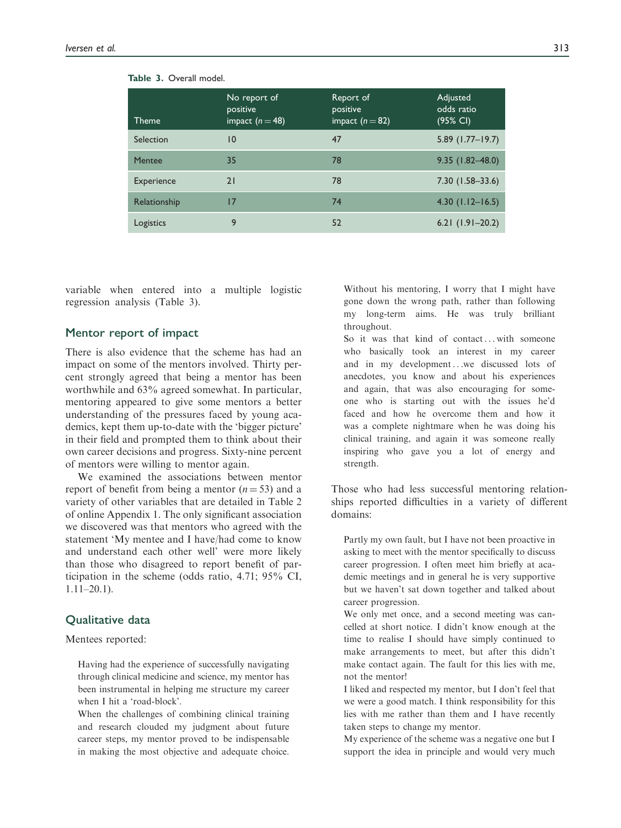| Theme         | No report of<br>positive<br>impact $(n = 48)$ | Report of<br>positive<br>impact $(n=82)$ | Adjusted<br>odds ratio<br>(95% CI) |
|---------------|-----------------------------------------------|------------------------------------------|------------------------------------|
| Selection     | $\overline{10}$                               | 47                                       | $5.89$ (1.77-19.7)                 |
| <b>Mentee</b> | 35                                            | 78                                       | $9.35(1.82 - 48.0)$                |
| Experience    | 21                                            | 78                                       | $7.30(1.58 - 33.6)$                |
| Relationship  | $\overline{17}$                               | 74                                       | $4.30$ (1.12–16.5)                 |
| Logistics     | 9                                             | 52                                       | $6.21$ (1.91-20.2)                 |

#### Table 3. Overall model.

variable when entered into a multiple logistic regression analysis (Table 3).

#### Mentor report of impact

There is also evidence that the scheme has had an impact on some of the mentors involved. Thirty percent strongly agreed that being a mentor has been worthwhile and 63% agreed somewhat. In particular, mentoring appeared to give some mentors a better understanding of the pressures faced by young academics, kept them up-to-date with the 'bigger picture' in their field and prompted them to think about their own career decisions and progress. Sixty-nine percent of mentors were willing to mentor again.

We examined the associations between mentor report of benefit from being a mentor  $(n = 53)$  and a variety of other variables that are detailed in Table 2 of online Appendix 1. The only significant association we discovered was that mentors who agreed with the statement 'My mentee and I have/had come to know and understand each other well' were more likely than those who disagreed to report benefit of participation in the scheme (odds ratio, 4.71; 95% CI, 1.11–20.1).

## Qualitative data

#### Mentees reported:

Having had the experience of successfully navigating through clinical medicine and science, my mentor has been instrumental in helping me structure my career when I hit a 'road-block'.

When the challenges of combining clinical training and research clouded my judgment about future career steps, my mentor proved to be indispensable in making the most objective and adequate choice.

Without his mentoring, I worry that I might have gone down the wrong path, rather than following my long-term aims. He was truly brilliant throughout.

So it was that kind of contact...with someone who basically took an interest in my career and in my development ...we discussed lots of anecdotes, you know and about his experiences and again, that was also encouraging for someone who is starting out with the issues he'd faced and how he overcome them and how it was a complete nightmare when he was doing his clinical training, and again it was someone really inspiring who gave you a lot of energy and strength.

Those who had less successful mentoring relationships reported difficulties in a variety of different domains:

Partly my own fault, but I have not been proactive in asking to meet with the mentor specifically to discuss career progression. I often meet him briefly at academic meetings and in general he is very supportive but we haven't sat down together and talked about career progression.

We only met once, and a second meeting was cancelled at short notice. I didn't know enough at the time to realise I should have simply continued to make arrangements to meet, but after this didn't make contact again. The fault for this lies with me, not the mentor!

I liked and respected my mentor, but I don't feel that we were a good match. I think responsibility for this lies with me rather than them and I have recently taken steps to change my mentor.

My experience of the scheme was a negative one but I support the idea in principle and would very much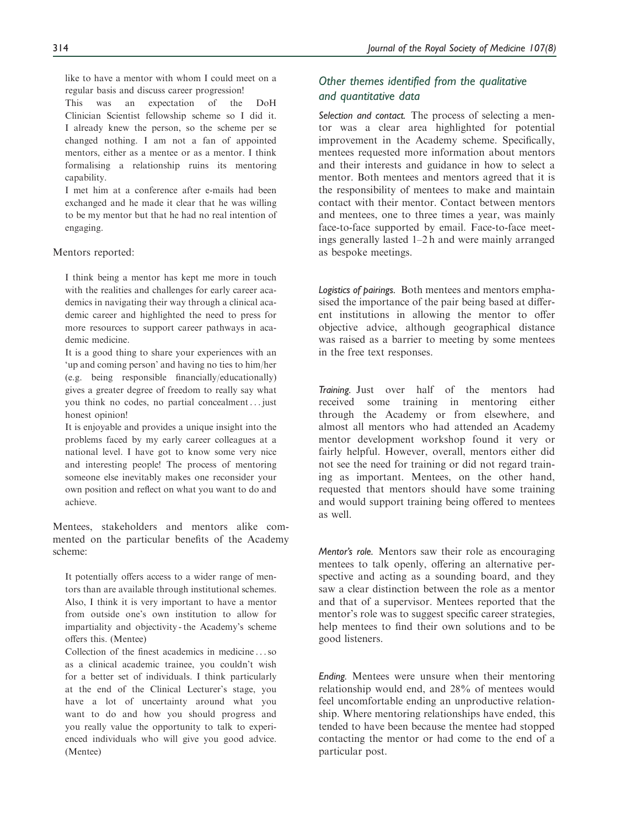like to have a mentor with whom I could meet on a regular basis and discuss career progression!

This was an expectation of the DoH Clinician Scientist fellowship scheme so I did it. I already knew the person, so the scheme per se changed nothing. I am not a fan of appointed mentors, either as a mentee or as a mentor. I think formalising a relationship ruins its mentoring capability.

I met him at a conference after e-mails had been exchanged and he made it clear that he was willing to be my mentor but that he had no real intention of engaging.

#### Mentors reported:

I think being a mentor has kept me more in touch with the realities and challenges for early career academics in navigating their way through a clinical academic career and highlighted the need to press for more resources to support career pathways in academic medicine.

It is a good thing to share your experiences with an 'up and coming person' and having no ties to him/her (e.g. being responsible financially/educationally) gives a greater degree of freedom to really say what you think no codes, no partial concealment ... just honest opinion!

It is enjoyable and provides a unique insight into the problems faced by my early career colleagues at a national level. I have got to know some very nice and interesting people! The process of mentoring someone else inevitably makes one reconsider your own position and reflect on what you want to do and achieve.

Mentees, stakeholders and mentors alike commented on the particular benefits of the Academy scheme:

It potentially offers access to a wider range of mentors than are available through institutional schemes. Also, I think it is very important to have a mentor from outside one's own institution to allow for impartiality and objectivity - the Academy's scheme offers this. (Mentee)

Collection of the finest academics in medicine ...so as a clinical academic trainee, you couldn't wish for a better set of individuals. I think particularly at the end of the Clinical Lecturer's stage, you have a lot of uncertainty around what you want to do and how you should progress and you really value the opportunity to talk to experienced individuals who will give you good advice. (Mentee)

# Other themes identified from the qualitative and quantitative data

Selection and contact. The process of selecting a mentor was a clear area highlighted for potential improvement in the Academy scheme. Specifically, mentees requested more information about mentors and their interests and guidance in how to select a mentor. Both mentees and mentors agreed that it is the responsibility of mentees to make and maintain contact with their mentor. Contact between mentors and mentees, one to three times a year, was mainly face-to-face supported by email. Face-to-face meetings generally lasted 1–2 h and were mainly arranged as bespoke meetings.

Logistics of pairings. Both mentees and mentors emphasised the importance of the pair being based at different institutions in allowing the mentor to offer objective advice, although geographical distance was raised as a barrier to meeting by some mentees in the free text responses.

Training. Just over half of the mentors had received some training in mentoring either through the Academy or from elsewhere, and almost all mentors who had attended an Academy mentor development workshop found it very or fairly helpful. However, overall, mentors either did not see the need for training or did not regard training as important. Mentees, on the other hand, requested that mentors should have some training and would support training being offered to mentees as well.

Mentor's role. Mentors saw their role as encouraging mentees to talk openly, offering an alternative perspective and acting as a sounding board, and they saw a clear distinction between the role as a mentor and that of a supervisor. Mentees reported that the mentor's role was to suggest specific career strategies, help mentees to find their own solutions and to be good listeners.

Ending. Mentees were unsure when their mentoring relationship would end, and 28% of mentees would feel uncomfortable ending an unproductive relationship. Where mentoring relationships have ended, this tended to have been because the mentee had stopped contacting the mentor or had come to the end of a particular post.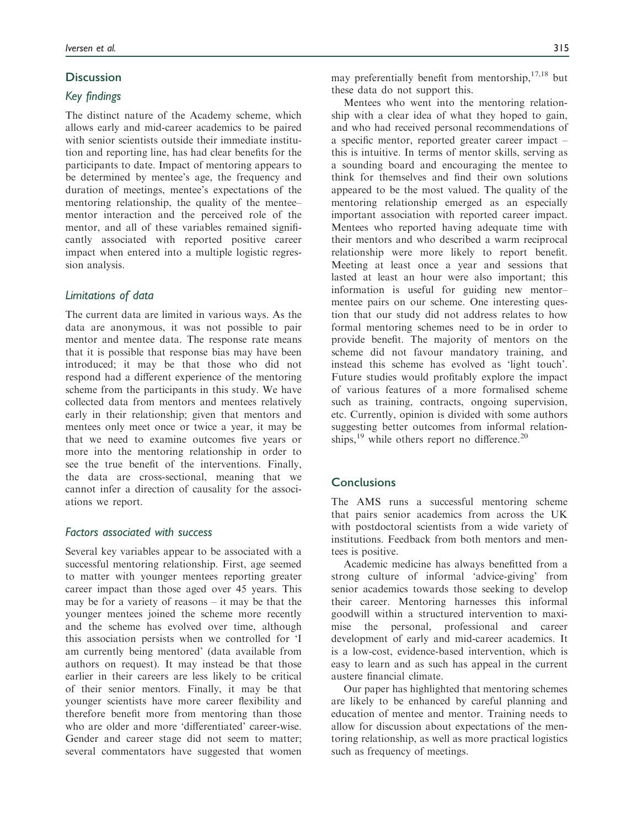#### **Discussion**

## Key findings

The distinct nature of the Academy scheme, which allows early and mid-career academics to be paired with senior scientists outside their immediate institution and reporting line, has had clear benefits for the participants to date. Impact of mentoring appears to be determined by mentee's age, the frequency and duration of meetings, mentee's expectations of the mentoring relationship, the quality of the mentee– mentor interaction and the perceived role of the mentor, and all of these variables remained significantly associated with reported positive career impact when entered into a multiple logistic regression analysis.

## Limitations of data

The current data are limited in various ways. As the data are anonymous, it was not possible to pair mentor and mentee data. The response rate means that it is possible that response bias may have been introduced; it may be that those who did not respond had a different experience of the mentoring scheme from the participants in this study. We have collected data from mentors and mentees relatively early in their relationship; given that mentors and mentees only meet once or twice a year, it may be that we need to examine outcomes five years or more into the mentoring relationship in order to see the true benefit of the interventions. Finally, the data are cross-sectional, meaning that we cannot infer a direction of causality for the associations we report.

## Factors associated with success

Several key variables appear to be associated with a successful mentoring relationship. First, age seemed to matter with younger mentees reporting greater career impact than those aged over 45 years. This may be for a variety of reasons – it may be that the younger mentees joined the scheme more recently and the scheme has evolved over time, although this association persists when we controlled for 'I am currently being mentored' (data available from authors on request). It may instead be that those earlier in their careers are less likely to be critical of their senior mentors. Finally, it may be that younger scientists have more career flexibility and therefore benefit more from mentoring than those who are older and more 'differentiated' career-wise. Gender and career stage did not seem to matter; several commentators have suggested that women

Mentees who went into the mentoring relationship with a clear idea of what they hoped to gain, and who had received personal recommendations of a specific mentor, reported greater career impact – this is intuitive. In terms of mentor skills, serving as a sounding board and encouraging the mentee to think for themselves and find their own solutions appeared to be the most valued. The quality of the mentoring relationship emerged as an especially important association with reported career impact. Mentees who reported having adequate time with their mentors and who described a warm reciprocal relationship were more likely to report benefit. Meeting at least once a year and sessions that lasted at least an hour were also important; this information is useful for guiding new mentor– mentee pairs on our scheme. One interesting question that our study did not address relates to how formal mentoring schemes need to be in order to provide benefit. The majority of mentors on the scheme did not favour mandatory training, and instead this scheme has evolved as 'light touch'. Future studies would profitably explore the impact of various features of a more formalised scheme such as training, contracts, ongoing supervision, etc. Currently, opinion is divided with some authors suggesting better outcomes from informal relationships, $19$  while others report no difference.<sup>20</sup>

## **Conclusions**

The AMS runs a successful mentoring scheme that pairs senior academics from across the UK with postdoctoral scientists from a wide variety of institutions. Feedback from both mentors and mentees is positive.

Academic medicine has always benefitted from a strong culture of informal 'advice-giving' from senior academics towards those seeking to develop their career. Mentoring harnesses this informal goodwill within a structured intervention to maximise the personal, professional and career development of early and mid-career academics. It is a low-cost, evidence-based intervention, which is easy to learn and as such has appeal in the current austere financial climate.

Our paper has highlighted that mentoring schemes are likely to be enhanced by careful planning and education of mentee and mentor. Training needs to allow for discussion about expectations of the mentoring relationship, as well as more practical logistics such as frequency of meetings.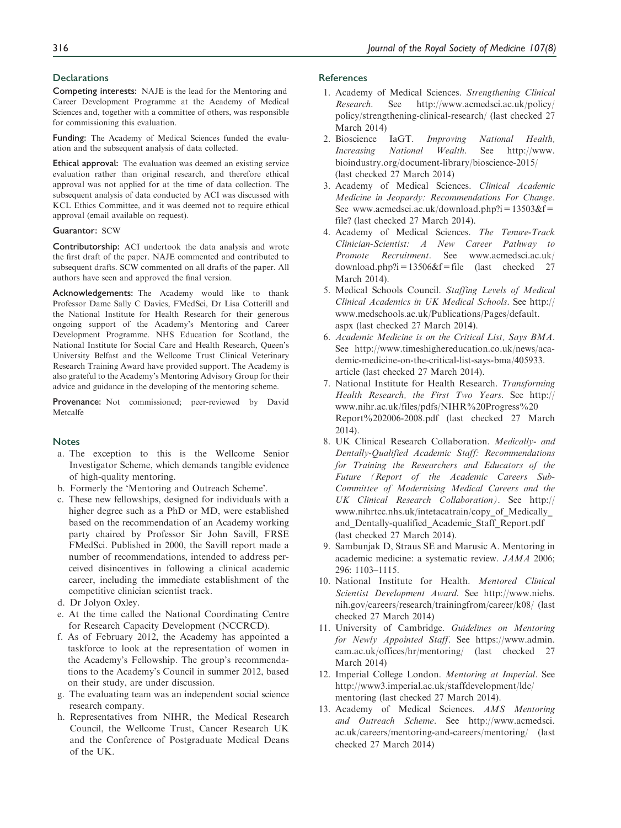#### **Declarations**

Competing interests: NAJE is the lead for the Mentoring and Career Development Programme at the Academy of Medical Sciences and, together with a committee of others, was responsible for commissioning this evaluation.

Funding: The Academy of Medical Sciences funded the evaluation and the subsequent analysis of data collected.

Ethical approval: The evaluation was deemed an existing service evaluation rather than original research, and therefore ethical approval was not applied for at the time of data collection. The subsequent analysis of data conducted by ACI was discussed with KCL Ethics Committee, and it was deemed not to require ethical approval (email available on request).

#### Guarantor: SCW

Contributorship: ACI undertook the data analysis and wrote the first draft of the paper. NAJE commented and contributed to subsequent drafts. SCW commented on all drafts of the paper. All authors have seen and approved the final version.

Acknowledgements: The Academy would like to thank Professor Dame Sally C Davies, FMedSci, Dr Lisa Cotterill and the National Institute for Health Research for their generous ongoing support of the Academy's Mentoring and Career Development Programme. NHS Education for Scotland, the National Institute for Social Care and Health Research, Queen's University Belfast and the Wellcome Trust Clinical Veterinary Research Training Award have provided support. The Academy is also grateful to the Academy's Mentoring Advisory Group for their advice and guidance in the developing of the mentoring scheme.

Provenance: Not commissioned; peer-reviewed by David Metcalfe

#### **Notes**

- a. The exception to this is the Wellcome Senior Investigator Scheme, which demands tangible evidence of high-quality mentoring.
- b. Formerly the 'Mentoring and Outreach Scheme'.
- c. These new fellowships, designed for individuals with a higher degree such as a PhD or MD, were established based on the recommendation of an Academy working party chaired by Professor Sir John Savill, FRSE FMedSci. Published in 2000, the Savill report made a number of recommendations, intended to address perceived disincentives in following a clinical academic career, including the immediate establishment of the competitive clinician scientist track.
- d. Dr Jolyon Oxley.
- e. At the time called the National Coordinating Centre for Research Capacity Development (NCCRCD).
- f. As of February 2012, the Academy has appointed a taskforce to look at the representation of women in the Academy's Fellowship. The group's recommendations to the Academy's Council in summer 2012, based on their study, are under discussion.
- g. The evaluating team was an independent social science research company.
- h. Representatives from NIHR, the Medical Research Council, the Wellcome Trust, Cancer Research UK and the Conference of Postgraduate Medical Deans of the UK.

#### **References**

- 1. Academy of Medical Sciences. Strengthening Clinical Research. See http://www.acmedsci.ac.uk/policy/ policy/strengthening-clinical-research/ (last checked 27 March 2014)
- 2. Bioscience IaGT. Improving National Health, Increasing National Wealth. See http://www. bioindustry.org/document-library/bioscience-2015/ (last checked 27 March 2014)
- 3. Academy of Medical Sciences. Clinical Academic Medicine in Jeopardy: Recommendations For Change. See www.acmedsci.ac.uk/download.php?i= $13503&f$ = file? (last checked 27 March 2014).
- 4. Academy of Medical Sciences. The Tenure-Track Clinician-Scientist: A New Career Pathway to Promote Recruitment. See www.acmedsci.ac.uk/ download.php?i=13506 $&$ f=file (last checked 27 March 2014).
- 5. Medical Schools Council. Staffing Levels of Medical Clinical Academics in UK Medical Schools. See http:// www.medschools.ac.uk/Publications/Pages/default. aspx (last checked 27 March 2014).
- 6. Academic Medicine is on the Critical List, Says BMA. See http://www.timeshighereducation.co.uk/news/academic-medicine-on-the-critical-list-says-bma/405933. article (last checked 27 March 2014).
- 7. National Institute for Health Research. Transforming Health Research, the First Two Years. See http:// www.nihr.ac.uk/files/pdfs/NIHR%20Progress%20 Report%202006-2008.pdf (last checked 27 March 2014).
- 8. UK Clinical Research Collaboration. Medically- and Dentally-Qualified Academic Staff: Recommendations for Training the Researchers and Educators of the Future (Report of the Academic Careers Sub-Committee of Modernising Medical Careers and the UK Clinical Research Collaboration). See http:// www.nihrtcc.nhs.uk/intetacatrain/copy\_of\_Medically\_ and\_Dentally-qualified\_Academic\_Staff\_Report.pdf (last checked 27 March 2014).
- 9. Sambunjak D, Straus SE and Marusic A. Mentoring in academic medicine: a systematic review. JAMA 2006; 296: 1103–1115.
- 10. National Institute for Health. Mentored Clinical Scientist Development Award. See http://www.niehs. nih.gov/careers/research/trainingfrom/career/k08/ (last checked 27 March 2014)
- 11. University of Cambridge. Guidelines on Mentoring for Newly Appointed Staff. See https://www.admin. cam.ac.uk/offices/hr/mentoring/ (last checked 27 March 2014)
- 12. Imperial College London. Mentoring at Imperial. See http://www3.imperial.ac.uk/staffdevelopment/ldc/ mentoring (last checked 27 March 2014).
- 13. Academy of Medical Sciences. AMS Mentoring and Outreach Scheme. See http://www.acmedsci. ac.uk/careers/mentoring-and-careers/mentoring/ (last checked 27 March 2014)